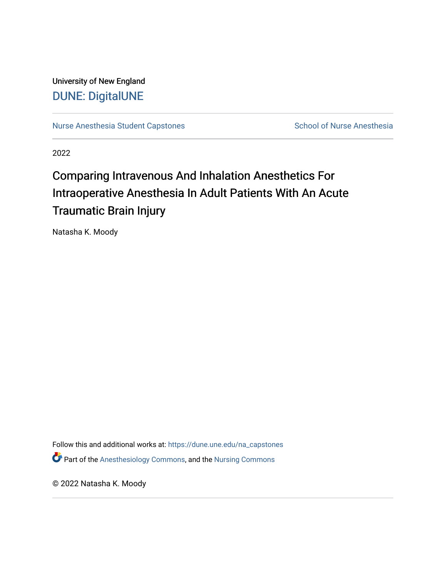University of New England [DUNE: DigitalUNE](https://dune.une.edu/) 

[Nurse Anesthesia Student Capstones](https://dune.une.edu/na_capstones) School of Nurse Anesthesia

2022

# Comparing Intravenous And Inhalation Anesthetics For Intraoperative Anesthesia In Adult Patients With An Acute Traumatic Brain Injury

Natasha K. Moody

Follow this and additional works at: [https://dune.une.edu/na\\_capstones](https://dune.une.edu/na_capstones?utm_source=dune.une.edu%2Fna_capstones%2F47&utm_medium=PDF&utm_campaign=PDFCoverPages) **P** Part of the [Anesthesiology Commons](https://network.bepress.com/hgg/discipline/682?utm_source=dune.une.edu%2Fna_capstones%2F47&utm_medium=PDF&utm_campaign=PDFCoverPages), and the Nursing Commons

© 2022 Natasha K. Moody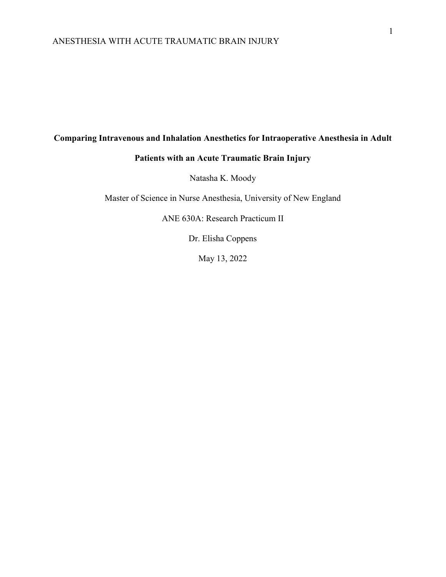# **Comparing Intravenous and Inhalation Anesthetics for Intraoperative Anesthesia in Adult**

# **Patients with an Acute Traumatic Brain Injury**

Natasha K. Moody

Master of Science in Nurse Anesthesia, University of New England

ANE 630A: Research Practicum II

Dr. Elisha Coppens

May 13, 2022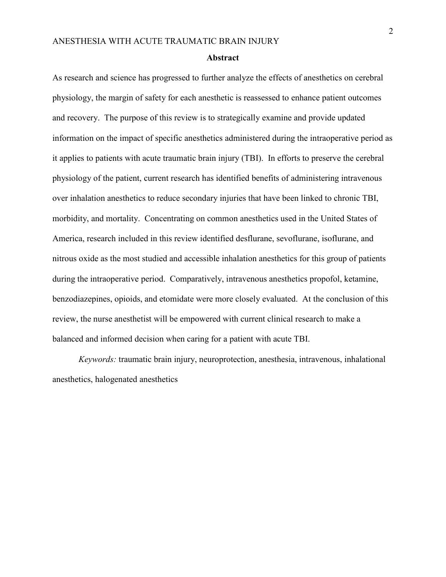#### **Abstract**

As research and science has progressed to further analyze the effects of anesthetics on cerebral physiology, the margin of safety for each anesthetic is reassessed to enhance patient outcomes and recovery. The purpose of this review is to strategically examine and provide updated information on the impact of specific anesthetics administered during the intraoperative period as it applies to patients with acute traumatic brain injury (TBI). In efforts to preserve the cerebral physiology of the patient, current research has identified benefits of administering intravenous over inhalation anesthetics to reduce secondary injuries that have been linked to chronic TBI, morbidity, and mortality. Concentrating on common anesthetics used in the United States of America, research included in this review identified desflurane, sevoflurane, isoflurane, and nitrous oxide as the most studied and accessible inhalation anesthetics for this group of patients during the intraoperative period. Comparatively, intravenous anesthetics propofol, ketamine, benzodiazepines, opioids, and etomidate were more closely evaluated. At the conclusion of this review, the nurse anesthetist will be empowered with current clinical research to make a balanced and informed decision when caring for a patient with acute TBI.

*Keywords:* traumatic brain injury, neuroprotection, anesthesia, intravenous, inhalational anesthetics, halogenated anesthetics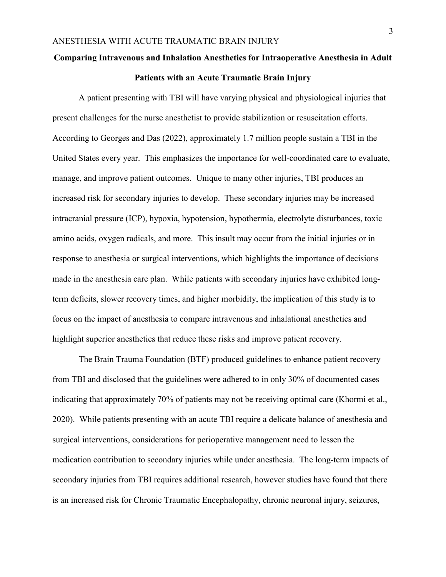## **Comparing Intravenous and Inhalation Anesthetics for Intraoperative Anesthesia in Adult**

#### **Patients with an Acute Traumatic Brain Injury**

A patient presenting with TBI will have varying physical and physiological injuries that present challenges for the nurse anesthetist to provide stabilization or resuscitation efforts. According to Georges and Das (2022), approximately 1.7 million people sustain a TBI in the United States every year. This emphasizes the importance for well-coordinated care to evaluate, manage, and improve patient outcomes. Unique to many other injuries, TBI produces an increased risk for secondary injuries to develop. These secondary injuries may be increased intracranial pressure (ICP), hypoxia, hypotension, hypothermia, electrolyte disturbances, toxic amino acids, oxygen radicals, and more. This insult may occur from the initial injuries or in response to anesthesia or surgical interventions, which highlights the importance of decisions made in the anesthesia care plan. While patients with secondary injuries have exhibited longterm deficits, slower recovery times, and higher morbidity, the implication of this study is to focus on the impact of anesthesia to compare intravenous and inhalational anesthetics and highlight superior anesthetics that reduce these risks and improve patient recovery.

The Brain Trauma Foundation (BTF) produced guidelines to enhance patient recovery from TBI and disclosed that the guidelines were adhered to in only 30% of documented cases indicating that approximately 70% of patients may not be receiving optimal care (Khormi et al., 2020). While patients presenting with an acute TBI require a delicate balance of anesthesia and surgical interventions, considerations for perioperative management need to lessen the medication contribution to secondary injuries while under anesthesia. The long-term impacts of secondary injuries from TBI requires additional research, however studies have found that there is an increased risk for Chronic Traumatic Encephalopathy, chronic neuronal injury, seizures,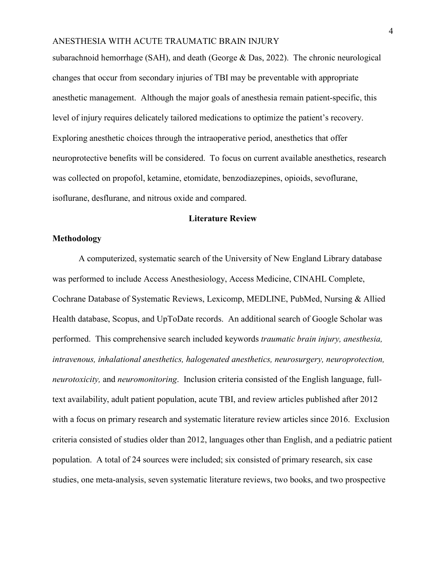subarachnoid hemorrhage (SAH), and death (George & Das, 2022). The chronic neurological changes that occur from secondary injuries of TBI may be preventable with appropriate anesthetic management. Although the major goals of anesthesia remain patient-specific, this level of injury requires delicately tailored medications to optimize the patient's recovery. Exploring anesthetic choices through the intraoperative period, anesthetics that offer neuroprotective benefits will be considered. To focus on current available anesthetics, research was collected on propofol, ketamine, etomidate, benzodiazepines, opioids, sevoflurane, isoflurane, desflurane, and nitrous oxide and compared.

#### **Literature Review**

#### **Methodology**

A computerized, systematic search of the University of New England Library database was performed to include Access Anesthesiology, Access Medicine, CINAHL Complete, Cochrane Database of Systematic Reviews, Lexicomp, MEDLINE, PubMed, Nursing & Allied Health database, Scopus, and UpToDate records. An additional search of Google Scholar was performed. This comprehensive search included keywords *traumatic brain injury, anesthesia, intravenous, inhalational anesthetics, halogenated anesthetics, neurosurgery, neuroprotection, neurotoxicity,* and *neuromonitoring*. Inclusion criteria consisted of the English language, fulltext availability, adult patient population, acute TBI, and review articles published after 2012 with a focus on primary research and systematic literature review articles since 2016. Exclusion criteria consisted of studies older than 2012, languages other than English, and a pediatric patient population. A total of 24 sources were included; six consisted of primary research, six case studies, one meta-analysis, seven systematic literature reviews, two books, and two prospective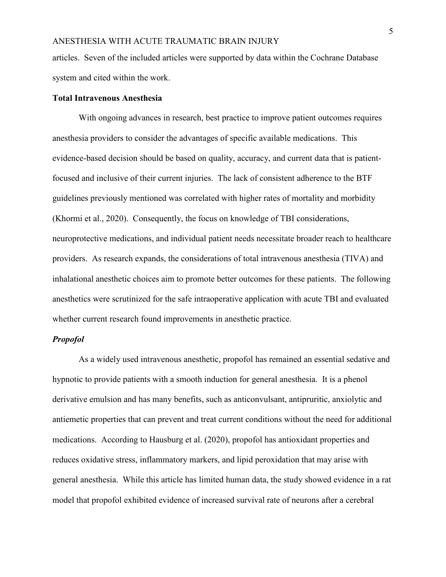articles. Seven of the included articles were supported by data within the Cochrane Database system and cited within the work.

#### **Total Intravenous Anesthesia**

With ongoing advances in research, best practice to improve patient outcomes requires anesthesia providers to consider the advantages of specific available medications. This evidence-based decision should be based on quality, accuracy, and current data that is patientfocused and inclusive of their current injuries. The lack of consistent adherence to the BTF guidelines previously mentioned was correlated with higher rates of mortality and morbidity (Khormi et al., 2020). Consequently, the focus on knowledge of TBI considerations, neuroprotective medications, and individual patient needs necessitate broader reach to healthcare providers. As research expands, the considerations of total intravenous anesthesia (TIVA) and inhalational anesthetic choices aim to promote better outcomes for these patients. The following anesthetics were scrutinized for the safe intraoperative application with acute TBI and evaluated whether current research found improvements in anesthetic practice.

#### *Propofol*

As a widely used intravenous anesthetic, propofol has remained an essential sedative and hypnotic to provide patients with a smooth induction for general anesthesia. It is a phenol derivative emulsion and has many benefits, such as anticonvulsant, antipruritic, anxiolytic and antiemetic properties that can prevent and treat current conditions without the need for additional medications. According to Hausburg et al. (2020), propofol has antioxidant properties and reduces oxidative stress, inflammatory markers, and lipid peroxidation that may arise with general anesthesia. While this article has limited human data, the study showed evidence in a rat model that propofol exhibited evidence of increased survival rate of neurons after a cerebral

5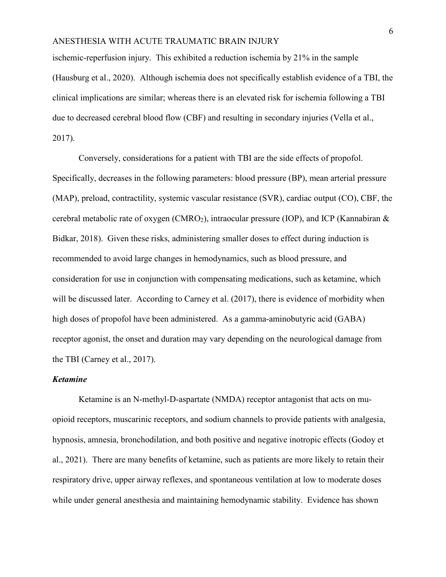ischemic-reperfusion injury. This exhibited a reduction ischemia by 21% in the sample (Hausburg et al., 2020). Although ischemia does not specifically establish evidence of a TBI, the clinical implications are similar; whereas there is an elevated risk for ischemia following a TBI due to decreased cerebral blood flow (CBF) and resulting in secondary injuries (Vella et al., 2017).

Conversely, considerations for a patient with TBI are the side effects of propofol. Specifically, decreases in the following parameters: blood pressure (BP), mean arterial pressure (MAP), preload, contractility, systemic vascular resistance (SVR), cardiac output (CO), CBF, the cerebral metabolic rate of oxygen (CMRO<sub>2</sub>), intraocular pressure (IOP), and ICP (Kannabiran  $\&$ Bidkar, 2018). Given these risks, administering smaller doses to effect during induction is recommended to avoid large changes in hemodynamics, such as blood pressure, and consideration for use in conjunction with compensating medications, such as ketamine, which will be discussed later. According to Carney et al. (2017), there is evidence of morbidity when high doses of propofol have been administered. As a gamma-aminobutyric acid (GABA) receptor agonist, the onset and duration may vary depending on the neurological damage from the TBI (Carney et al., 2017).

#### *Ketamine*

Ketamine is an N-methyl-D-aspartate (NMDA) receptor antagonist that acts on muopioid receptors, muscarinic receptors, and sodium channels to provide patients with analgesia, hypnosis, amnesia, bronchodilation, and both positive and negative inotropic effects (Godoy et al., 2021). There are many benefits of ketamine, such as patients are more likely to retain their respiratory drive, upper airway reflexes, and spontaneous ventilation at low to moderate doses while under general anesthesia and maintaining hemodynamic stability. Evidence has shown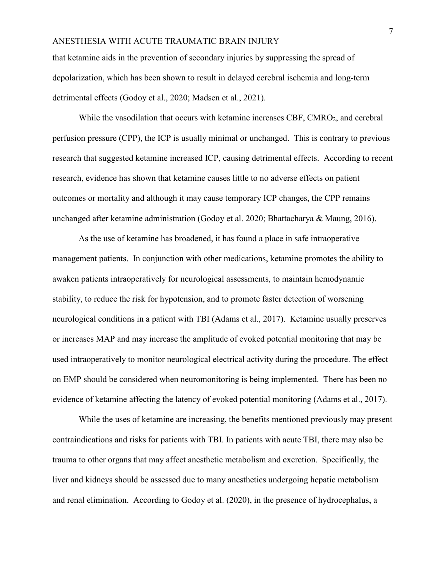that ketamine aids in the prevention of secondary injuries by suppressing the spread of depolarization, which has been shown to result in delayed cerebral ischemia and long-term detrimental effects (Godoy et al., 2020; Madsen et al., 2021).

While the vasodilation that occurs with ketamine increases CBF, CMRO<sub>2</sub>, and cerebral perfusion pressure (CPP), the ICP is usually minimal or unchanged. This is contrary to previous research that suggested ketamine increased ICP, causing detrimental effects. According to recent research, evidence has shown that ketamine causes little to no adverse effects on patient outcomes or mortality and although it may cause temporary ICP changes, the CPP remains unchanged after ketamine administration (Godoy et al. 2020; Bhattacharya & Maung, 2016).

As the use of ketamine has broadened, it has found a place in safe intraoperative management patients. In conjunction with other medications, ketamine promotes the ability to awaken patients intraoperatively for neurological assessments, to maintain hemodynamic stability, to reduce the risk for hypotension, and to promote faster detection of worsening neurological conditions in a patient with TBI (Adams et al., 2017). Ketamine usually preserves or increases MAP and may increase the amplitude of evoked potential monitoring that may be used intraoperatively to monitor neurological electrical activity during the procedure. The effect on EMP should be considered when neuromonitoring is being implemented. There has been no evidence of ketamine affecting the latency of evoked potential monitoring (Adams et al., 2017).

While the uses of ketamine are increasing, the benefits mentioned previously may present contraindications and risks for patients with TBI. In patients with acute TBI, there may also be trauma to other organs that may affect anesthetic metabolism and excretion. Specifically, the liver and kidneys should be assessed due to many anesthetics undergoing hepatic metabolism and renal elimination. According to Godoy et al. (2020), in the presence of hydrocephalus, a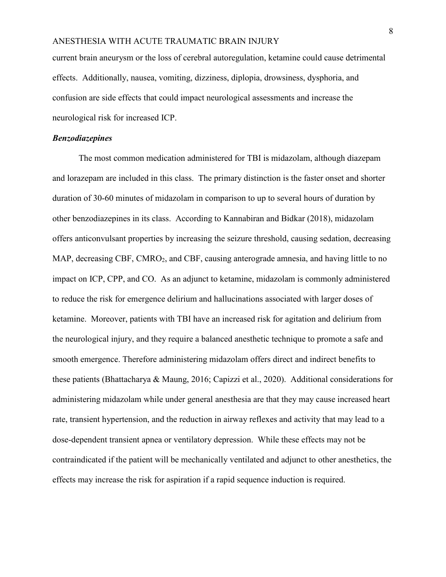current brain aneurysm or the loss of cerebral autoregulation, ketamine could cause detrimental effects. Additionally, nausea, vomiting, dizziness, diplopia, drowsiness, dysphoria, and confusion are side effects that could impact neurological assessments and increase the neurological risk for increased ICP.

#### *Benzodiazepines*

The most common medication administered for TBI is midazolam, although diazepam and lorazepam are included in this class. The primary distinction is the faster onset and shorter duration of 30-60 minutes of midazolam in comparison to up to several hours of duration by other benzodiazepines in its class. According to Kannabiran and Bidkar (2018), midazolam offers anticonvulsant properties by increasing the seizure threshold, causing sedation, decreasing MAP, decreasing CBF, CMRO<sub>2</sub>, and CBF, causing anterograde amnesia, and having little to no impact on ICP, CPP, and CO. As an adjunct to ketamine, midazolam is commonly administered to reduce the risk for emergence delirium and hallucinations associated with larger doses of ketamine. Moreover, patients with TBI have an increased risk for agitation and delirium from the neurological injury, and they require a balanced anesthetic technique to promote a safe and smooth emergence. Therefore administering midazolam offers direct and indirect benefits to these patients (Bhattacharya & Maung, 2016; Capizzi et al., 2020). Additional considerations for administering midazolam while under general anesthesia are that they may cause increased heart rate, transient hypertension, and the reduction in airway reflexes and activity that may lead to a dose-dependent transient apnea or ventilatory depression. While these effects may not be contraindicated if the patient will be mechanically ventilated and adjunct to other anesthetics, the effects may increase the risk for aspiration if a rapid sequence induction is required.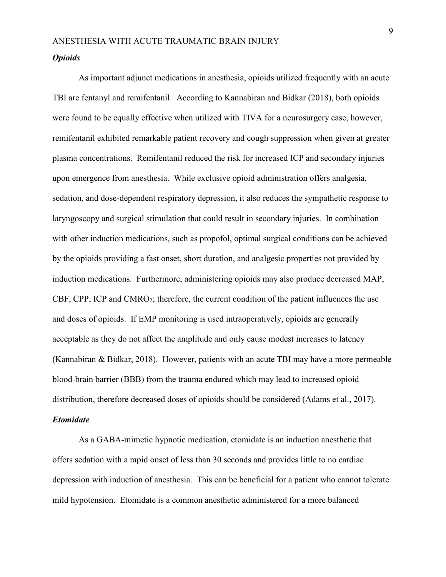#### *Opioids*

As important adjunct medications in anesthesia, opioids utilized frequently with an acute TBI are fentanyl and remifentanil. According to Kannabiran and Bidkar (2018), both opioids were found to be equally effective when utilized with TIVA for a neurosurgery case, however, remifentanil exhibited remarkable patient recovery and cough suppression when given at greater plasma concentrations. Remifentanil reduced the risk for increased ICP and secondary injuries upon emergence from anesthesia. While exclusive opioid administration offers analgesia, sedation, and dose-dependent respiratory depression, it also reduces the sympathetic response to laryngoscopy and surgical stimulation that could result in secondary injuries. In combination with other induction medications, such as propofol, optimal surgical conditions can be achieved by the opioids providing a fast onset, short duration, and analgesic properties not provided by induction medications. Furthermore, administering opioids may also produce decreased MAP, CBF, CPP, ICP and  $CMRO<sub>2</sub>$ ; therefore, the current condition of the patient influences the use and doses of opioids. If EMP monitoring is used intraoperatively, opioids are generally acceptable as they do not affect the amplitude and only cause modest increases to latency (Kannabiran & Bidkar, 2018). However, patients with an acute TBI may have a more permeable blood-brain barrier (BBB) from the trauma endured which may lead to increased opioid distribution, therefore decreased doses of opioids should be considered (Adams et al., 2017).

#### *Etomidate*

As a GABA-mimetic hypnotic medication, etomidate is an induction anesthetic that offers sedation with a rapid onset of less than 30 seconds and provides little to no cardiac depression with induction of anesthesia. This can be beneficial for a patient who cannot tolerate mild hypotension. Etomidate is a common anesthetic administered for a more balanced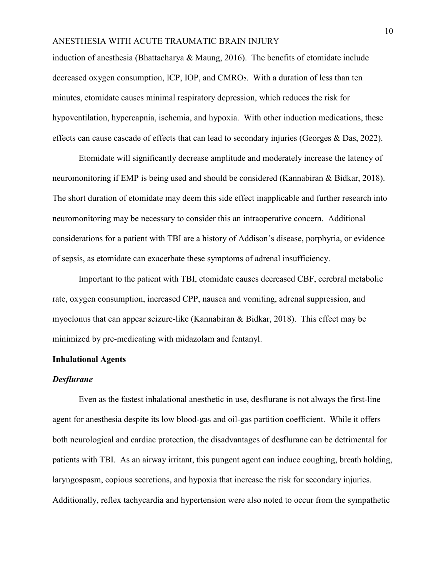induction of anesthesia (Bhattacharya & Maung, 2016). The benefits of etomidate include decreased oxygen consumption, ICP, IOP, and CMRO<sub>2</sub>. With a duration of less than ten minutes, etomidate causes minimal respiratory depression, which reduces the risk for hypoventilation, hypercapnia, ischemia, and hypoxia. With other induction medications, these effects can cause cascade of effects that can lead to secondary injuries (Georges & Das, 2022).

Etomidate will significantly decrease amplitude and moderately increase the latency of neuromonitoring if EMP is being used and should be considered (Kannabiran & Bidkar, 2018). The short duration of etomidate may deem this side effect inapplicable and further research into neuromonitoring may be necessary to consider this an intraoperative concern. Additional considerations for a patient with TBI are a history of Addison's disease, porphyria, or evidence of sepsis, as etomidate can exacerbate these symptoms of adrenal insufficiency.

Important to the patient with TBI, etomidate causes decreased CBF, cerebral metabolic rate, oxygen consumption, increased CPP, nausea and vomiting, adrenal suppression, and myoclonus that can appear seizure-like (Kannabiran & Bidkar, 2018). This effect may be minimized by pre-medicating with midazolam and fentanyl.

#### **Inhalational Agents**

#### *Desflurane*

Even as the fastest inhalational anesthetic in use, desflurane is not always the first-line agent for anesthesia despite its low blood-gas and oil-gas partition coefficient. While it offers both neurological and cardiac protection, the disadvantages of desflurane can be detrimental for patients with TBI. As an airway irritant, this pungent agent can induce coughing, breath holding, laryngospasm, copious secretions, and hypoxia that increase the risk for secondary injuries. Additionally, reflex tachycardia and hypertension were also noted to occur from the sympathetic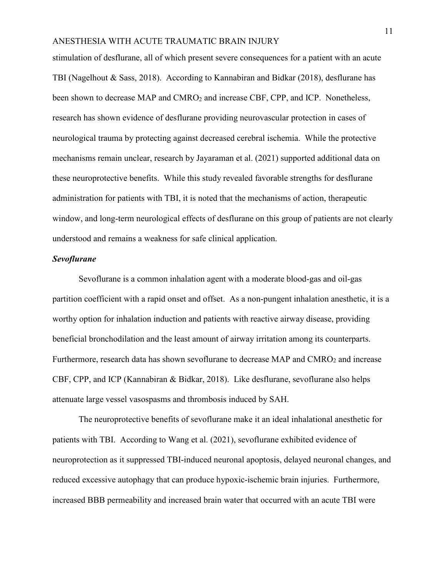stimulation of desflurane, all of which present severe consequences for a patient with an acute TBI (Nagelhout & Sass, 2018). According to Kannabiran and Bidkar (2018), desflurane has been shown to decrease MAP and CMRO<sub>2</sub> and increase CBF, CPP, and ICP. Nonetheless, research has shown evidence of desflurane providing neurovascular protection in cases of neurological trauma by protecting against decreased cerebral ischemia. While the protective mechanisms remain unclear, research by Jayaraman et al. (2021) supported additional data on these neuroprotective benefits. While this study revealed favorable strengths for desflurane administration for patients with TBI, it is noted that the mechanisms of action, therapeutic window, and long-term neurological effects of desflurane on this group of patients are not clearly understood and remains a weakness for safe clinical application.

#### *Sevoflurane*

Sevoflurane is a common inhalation agent with a moderate blood-gas and oil-gas partition coefficient with a rapid onset and offset. As a non-pungent inhalation anesthetic, it is a worthy option for inhalation induction and patients with reactive airway disease, providing beneficial bronchodilation and the least amount of airway irritation among its counterparts. Furthermore, research data has shown sevoflurane to decrease MAP and  $CMRO<sub>2</sub>$  and increase CBF, CPP, and ICP (Kannabiran & Bidkar, 2018). Like desflurane, sevoflurane also helps attenuate large vessel vasospasms and thrombosis induced by SAH.

The neuroprotective benefits of sevoflurane make it an ideal inhalational anesthetic for patients with TBI. According to Wang et al. (2021), sevoflurane exhibited evidence of neuroprotection as it suppressed TBI-induced neuronal apoptosis, delayed neuronal changes, and reduced excessive autophagy that can produce hypoxic-ischemic brain injuries. Furthermore, increased BBB permeability and increased brain water that occurred with an acute TBI were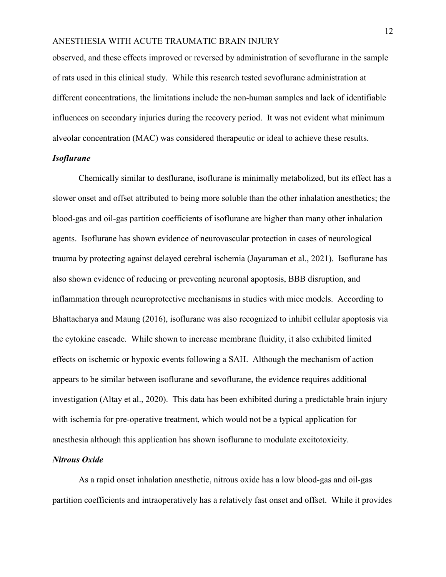observed, and these effects improved or reversed by administration of sevoflurane in the sample of rats used in this clinical study. While this research tested sevoflurane administration at different concentrations, the limitations include the non-human samples and lack of identifiable influences on secondary injuries during the recovery period. It was not evident what minimum alveolar concentration (MAC) was considered therapeutic or ideal to achieve these results.

#### *Isoflurane*

Chemically similar to desflurane, isoflurane is minimally metabolized, but its effect has a slower onset and offset attributed to being more soluble than the other inhalation anesthetics; the blood-gas and oil-gas partition coefficients of isoflurane are higher than many other inhalation agents. Isoflurane has shown evidence of neurovascular protection in cases of neurological trauma by protecting against delayed cerebral ischemia (Jayaraman et al., 2021). Isoflurane has also shown evidence of reducing or preventing neuronal apoptosis, BBB disruption, and inflammation through neuroprotective mechanisms in studies with mice models. According to Bhattacharya and Maung (2016), isoflurane was also recognized to inhibit cellular apoptosis via the cytokine cascade. While shown to increase membrane fluidity, it also exhibited limited effects on ischemic or hypoxic events following a SAH. Although the mechanism of action appears to be similar between isoflurane and sevoflurane, the evidence requires additional investigation (Altay et al., 2020). This data has been exhibited during a predictable brain injury with ischemia for pre-operative treatment, which would not be a typical application for anesthesia although this application has shown isoflurane to modulate excitotoxicity.

#### *Nitrous Oxide*

As a rapid onset inhalation anesthetic, nitrous oxide has a low blood-gas and oil-gas partition coefficients and intraoperatively has a relatively fast onset and offset. While it provides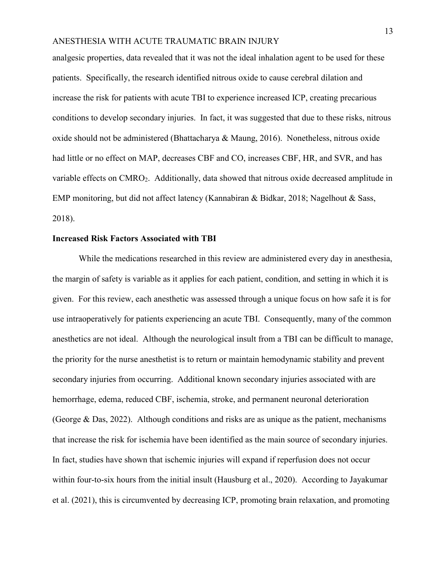analgesic properties, data revealed that it was not the ideal inhalation agent to be used for these patients. Specifically, the research identified nitrous oxide to cause cerebral dilation and increase the risk for patients with acute TBI to experience increased ICP, creating precarious conditions to develop secondary injuries. In fact, it was suggested that due to these risks, nitrous oxide should not be administered (Bhattacharya & Maung, 2016). Nonetheless, nitrous oxide had little or no effect on MAP, decreases CBF and CO, increases CBF, HR, and SVR, and has variable effects on CMRO2. Additionally, data showed that nitrous oxide decreased amplitude in EMP monitoring, but did not affect latency (Kannabiran & Bidkar, 2018; Nagelhout & Sass, 2018).

#### **Increased Risk Factors Associated with TBI**

While the medications researched in this review are administered every day in anesthesia, the margin of safety is variable as it applies for each patient, condition, and setting in which it is given. For this review, each anesthetic was assessed through a unique focus on how safe it is for use intraoperatively for patients experiencing an acute TBI. Consequently, many of the common anesthetics are not ideal. Although the neurological insult from a TBI can be difficult to manage, the priority for the nurse anesthetist is to return or maintain hemodynamic stability and prevent secondary injuries from occurring. Additional known secondary injuries associated with are hemorrhage, edema, reduced CBF, ischemia, stroke, and permanent neuronal deterioration (George & Das, 2022). Although conditions and risks are as unique as the patient, mechanisms that increase the risk for ischemia have been identified as the main source of secondary injuries. In fact, studies have shown that ischemic injuries will expand if reperfusion does not occur within four-to-six hours from the initial insult (Hausburg et al., 2020). According to Jayakumar et al. (2021), this is circumvented by decreasing ICP, promoting brain relaxation, and promoting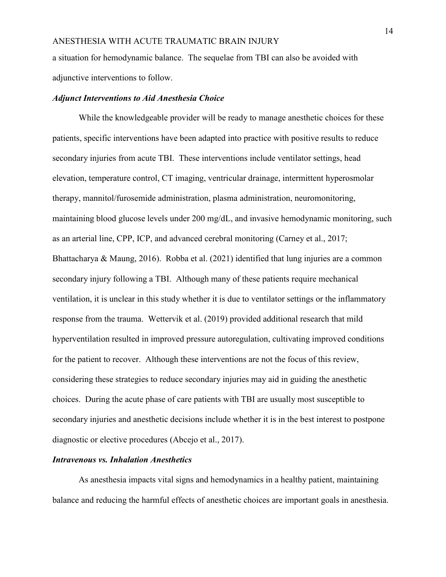a situation for hemodynamic balance. The sequelae from TBI can also be avoided with adjunctive interventions to follow.

#### *Adjunct Interventions to Aid Anesthesia Choice*

While the knowledgeable provider will be ready to manage anesthetic choices for these patients, specific interventions have been adapted into practice with positive results to reduce secondary injuries from acute TBI. These interventions include ventilator settings, head elevation, temperature control, CT imaging, ventricular drainage, intermittent hyperosmolar therapy, mannitol/furosemide administration, plasma administration, neuromonitoring, maintaining blood glucose levels under 200 mg/dL, and invasive hemodynamic monitoring, such as an arterial line, CPP, ICP, and advanced cerebral monitoring (Carney et al., 2017; Bhattacharya & Maung, 2016). Robba et al. (2021) identified that lung injuries are a common secondary injury following a TBI. Although many of these patients require mechanical ventilation, it is unclear in this study whether it is due to ventilator settings or the inflammatory response from the trauma. Wettervik et al. (2019) provided additional research that mild hyperventilation resulted in improved pressure autoregulation, cultivating improved conditions for the patient to recover. Although these interventions are not the focus of this review, considering these strategies to reduce secondary injuries may aid in guiding the anesthetic choices. During the acute phase of care patients with TBI are usually most susceptible to secondary injuries and anesthetic decisions include whether it is in the best interest to postpone diagnostic or elective procedures (Abcejo et al., 2017).

#### *Intravenous vs. Inhalation Anesthetics*

As anesthesia impacts vital signs and hemodynamics in a healthy patient, maintaining balance and reducing the harmful effects of anesthetic choices are important goals in anesthesia.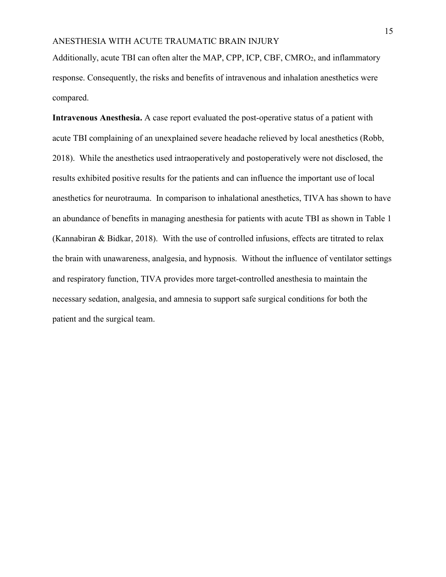Additionally, acute TBI can often alter the MAP, CPP, ICP, CBF, CMRO<sub>2</sub>, and inflammatory response. Consequently, the risks and benefits of intravenous and inhalation anesthetics were compared.

**Intravenous Anesthesia.** A case report evaluated the post-operative status of a patient with acute TBI complaining of an unexplained severe headache relieved by local anesthetics (Robb, 2018). While the anesthetics used intraoperatively and postoperatively were not disclosed, the results exhibited positive results for the patients and can influence the important use of local anesthetics for neurotrauma. In comparison to inhalational anesthetics, TIVA has shown to have an abundance of benefits in managing anesthesia for patients with acute TBI as shown in Table 1 (Kannabiran & Bidkar, 2018). With the use of controlled infusions, effects are titrated to relax the brain with unawareness, analgesia, and hypnosis. Without the influence of ventilator settings and respiratory function, TIVA provides more target-controlled anesthesia to maintain the necessary sedation, analgesia, and amnesia to support safe surgical conditions for both the patient and the surgical team.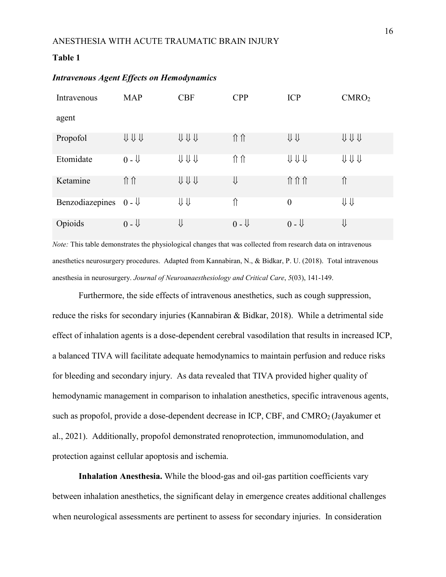#### **Table 1**

| Intravenous     | <b>MAP</b>     | <b>CBF</b> | <b>CPP</b>     | <b>ICP</b>              | CMRO <sub>2</sub>                             |
|-----------------|----------------|------------|----------------|-------------------------|-----------------------------------------------|
| agent           |                |            |                |                         |                                               |
| Propofol        | UUU            | UUU        | 介介             | $\Downarrow \Downarrow$ | UUU                                           |
| Etomidate       | $0 - \sqrt{ }$ | UUU        | 介介             | UUU                     | $\Downarrow \Downarrow \Downarrow \Downarrow$ |
| Ketamine        | 介介             | UUU        | ⇓              | 介介介                     | ⇑                                             |
| Benzodiazepines | $0 - \sqrt{ }$ | ⇒          | ⇑              | $\boldsymbol{0}$        | ⇓⇓                                            |
| Opioids         | $0 - \sqrt{ }$ | ⇓          | $0 - \sqrt{ }$ | $0 - \sqrt{ }$          | ⇓                                             |

#### *Intravenous Agent Effects on Hemodynamics*

*Note:* This table demonstrates the physiological changes that was collected from research data on intravenous anesthetics neurosurgery procedures. Adapted from Kannabiran, N., & Bidkar, P. U. (2018). Total intravenous anesthesia in neurosurgery. *Journal of Neuroanaesthesiology and Critical Care*, *5*(03), 141-149.

Furthermore, the side effects of intravenous anesthetics, such as cough suppression, reduce the risks for secondary injuries (Kannabiran & Bidkar, 2018). While a detrimental side effect of inhalation agents is a dose-dependent cerebral vasodilation that results in increased ICP, a balanced TIVA will facilitate adequate hemodynamics to maintain perfusion and reduce risks for bleeding and secondary injury. As data revealed that TIVA provided higher quality of hemodynamic management in comparison to inhalation anesthetics, specific intravenous agents, such as propofol, provide a dose-dependent decrease in ICP, CBF, and CMRO<sub>2</sub> (Jayakumer et al., 2021). Additionally, propofol demonstrated renoprotection, immunomodulation, and protection against cellular apoptosis and ischemia.

**Inhalation Anesthesia.** While the blood-gas and oil-gas partition coefficients vary between inhalation anesthetics, the significant delay in emergence creates additional challenges when neurological assessments are pertinent to assess for secondary injuries. In consideration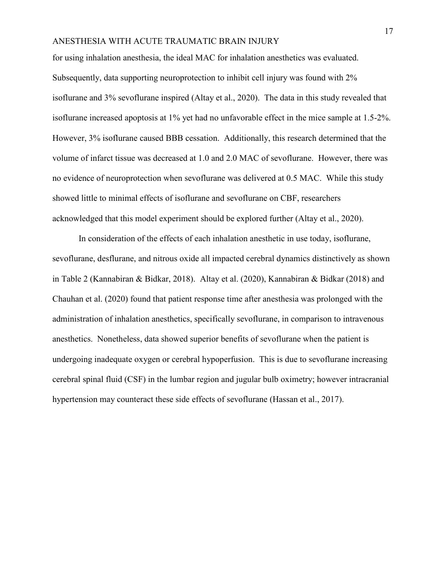for using inhalation anesthesia, the ideal MAC for inhalation anesthetics was evaluated. Subsequently, data supporting neuroprotection to inhibit cell injury was found with 2% isoflurane and 3% sevoflurane inspired (Altay et al., 2020). The data in this study revealed that isoflurane increased apoptosis at 1% yet had no unfavorable effect in the mice sample at 1.5-2%. However, 3% isoflurane caused BBB cessation. Additionally, this research determined that the volume of infarct tissue was decreased at 1.0 and 2.0 MAC of sevoflurane. However, there was no evidence of neuroprotection when sevoflurane was delivered at 0.5 MAC. While this study showed little to minimal effects of isoflurane and sevoflurane on CBF, researchers acknowledged that this model experiment should be explored further (Altay et al., 2020).

In consideration of the effects of each inhalation anesthetic in use today, isoflurane, sevoflurane, desflurane, and nitrous oxide all impacted cerebral dynamics distinctively as shown in Table 2 (Kannabiran & Bidkar, 2018). Altay et al. (2020), Kannabiran & Bidkar (2018) and Chauhan et al. (2020) found that patient response time after anesthesia was prolonged with the administration of inhalation anesthetics, specifically sevoflurane, in comparison to intravenous anesthetics. Nonetheless, data showed superior benefits of sevoflurane when the patient is undergoing inadequate oxygen or cerebral hypoperfusion. This is due to sevoflurane increasing cerebral spinal fluid (CSF) in the lumbar region and jugular bulb oximetry; however intracranial hypertension may counteract these side effects of sevoflurane (Hassan et al., 2017).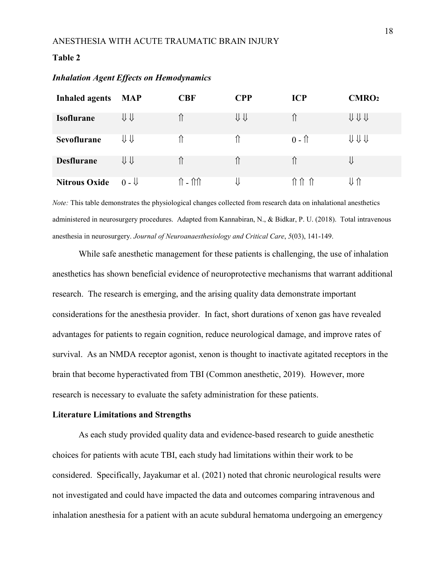#### **Table 2**

| <b>Inhaled agents</b> | <b>MAP</b>     | <b>CBF</b>                         | <b>CPP</b> | <b>ICP</b>     | CMRO <sub>2</sub> |
|-----------------------|----------------|------------------------------------|------------|----------------|-------------------|
| <b>Isoflurane</b>     | ⇓⇓             |                                    | ⇓⇓         |                | ↓↓↓↓              |
| <b>Sevoflurane</b>    | ⇓⇓             |                                    |            | $0 - \uparrow$ | ⇓⇓⇓               |
| <b>Desflurane</b>     | <b>↓↓</b>      |                                    |            |                | ⇓                 |
| <b>Nitrous Oxide</b>  | $0 - \sqrt{2}$ | $\hat{\Pi}$ - $\hat{\Pi}\hat{\Pi}$ |            |                |                   |

#### *Inhalation Agent Effects on Hemodynamics*

*Note:* This table demonstrates the physiological changes collected from research data on inhalational anesthetics administered in neurosurgery procedures. Adapted from Kannabiran, N., & Bidkar, P. U. (2018). Total intravenous anesthesia in neurosurgery. *Journal of Neuroanaesthesiology and Critical Care*, *5*(03), 141-149.

While safe anesthetic management for these patients is challenging, the use of inhalation anesthetics has shown beneficial evidence of neuroprotective mechanisms that warrant additional research. The research is emerging, and the arising quality data demonstrate important considerations for the anesthesia provider. In fact, short durations of xenon gas have revealed advantages for patients to regain cognition, reduce neurological damage, and improve rates of survival. As an NMDA receptor agonist, xenon is thought to inactivate agitated receptors in the brain that become hyperactivated from TBI (Common anesthetic, 2019). However, more research is necessary to evaluate the safety administration for these patients.

#### **Literature Limitations and Strengths**

As each study provided quality data and evidence-based research to guide anesthetic choices for patients with acute TBI, each study had limitations within their work to be considered. Specifically, Jayakumar et al. (2021) noted that chronic neurological results were not investigated and could have impacted the data and outcomes comparing intravenous and inhalation anesthesia for a patient with an acute subdural hematoma undergoing an emergency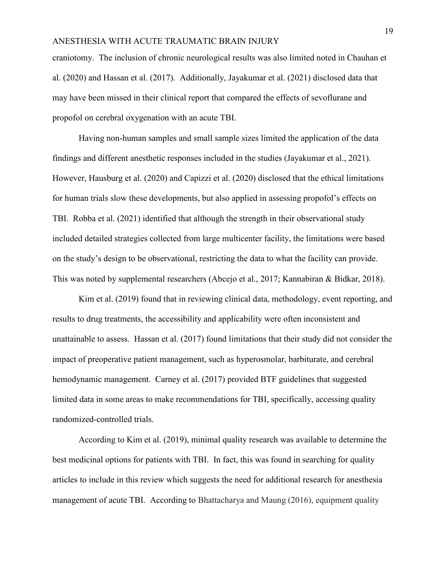craniotomy. The inclusion of chronic neurological results was also limited noted in Chauhan et al. (2020) and Hassan et al. (2017). Additionally, Jayakumar et al. (2021) disclosed data that may have been missed in their clinical report that compared the effects of sevoflurane and propofol on cerebral oxygenation with an acute TBI.

Having non-human samples and small sample sizes limited the application of the data findings and different anesthetic responses included in the studies (Jayakumar et al., 2021). However, Hausburg et al. (2020) and Capizzi et al. (2020) disclosed that the ethical limitations for human trials slow these developments, but also applied in assessing propofol's effects on TBI. Robba et al. (2021) identified that although the strength in their observational study included detailed strategies collected from large multicenter facility, the limitations were based on the study's design to be observational, restricting the data to what the facility can provide. This was noted by supplemental researchers (Abcejo et al., 2017; Kannabiran & Bidkar, 2018).

Kim et al. (2019) found that in reviewing clinical data, methodology, event reporting, and results to drug treatments, the accessibility and applicability were often inconsistent and unattainable to assess. Hassan et al. (2017) found limitations that their study did not consider the impact of preoperative patient management, such as hyperosmolar, barbiturate, and cerebral hemodynamic management. Carney et al. (2017) provided BTF guidelines that suggested limited data in some areas to make recommendations for TBI, specifically, accessing quality randomized-controlled trials.

According to Kim et al. (2019), minimal quality research was available to determine the best medicinal options for patients with TBI. In fact, this was found in searching for quality articles to include in this review which suggests the need for additional research for anesthesia management of acute TBI. According to Bhattacharya and Maung (2016), equipment quality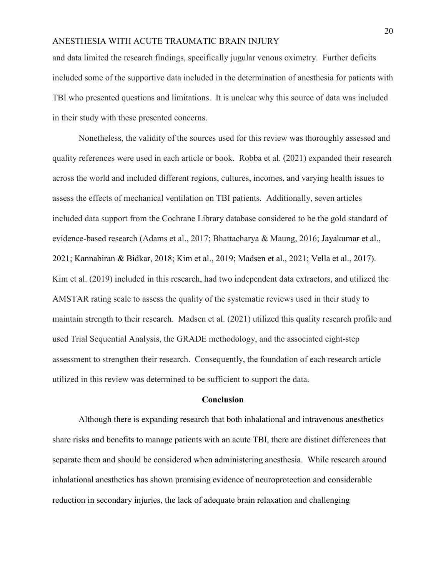and data limited the research findings, specifically jugular venous oximetry. Further deficits included some of the supportive data included in the determination of anesthesia for patients with TBI who presented questions and limitations. It is unclear why this source of data was included in their study with these presented concerns.

Nonetheless, the validity of the sources used for this review was thoroughly assessed and quality references were used in each article or book. Robba et al. (2021) expanded their research across the world and included different regions, cultures, incomes, and varying health issues to assess the effects of mechanical ventilation on TBI patients. Additionally, seven articles included data support from the Cochrane Library database considered to be the gold standard of evidence-based research (Adams et al., 2017; Bhattacharya & Maung, 2016; Jayakumar et al., 2021; Kannabiran & Bidkar, 2018; Kim et al., 2019; Madsen et al., 2021; Vella et al., 2017). Kim et al. (2019) included in this research, had two independent data extractors, and utilized the AMSTAR rating scale to assess the quality of the systematic reviews used in their study to maintain strength to their research. Madsen et al. (2021) utilized this quality research profile and used Trial Sequential Analysis, the GRADE methodology, and the associated eight-step assessment to strengthen their research. Consequently, the foundation of each research article utilized in this review was determined to be sufficient to support the data.

#### **Conclusion**

Although there is expanding research that both inhalational and intravenous anesthetics share risks and benefits to manage patients with an acute TBI, there are distinct differences that separate them and should be considered when administering anesthesia. While research around inhalational anesthetics has shown promising evidence of neuroprotection and considerable reduction in secondary injuries, the lack of adequate brain relaxation and challenging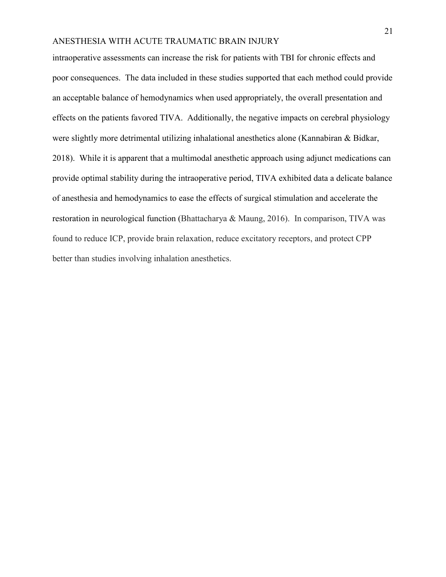intraoperative assessments can increase the risk for patients with TBI for chronic effects and poor consequences. The data included in these studies supported that each method could provide an acceptable balance of hemodynamics when used appropriately, the overall presentation and effects on the patients favored TIVA. Additionally, the negative impacts on cerebral physiology were slightly more detrimental utilizing inhalational anesthetics alone (Kannabiran & Bidkar, 2018). While it is apparent that a multimodal anesthetic approach using adjunct medications can provide optimal stability during the intraoperative period, TIVA exhibited data a delicate balance of anesthesia and hemodynamics to ease the effects of surgical stimulation and accelerate the restoration in neurological function (Bhattacharya & Maung, 2016). In comparison, TIVA was found to reduce ICP, provide brain relaxation, reduce excitatory receptors, and protect CPP better than studies involving inhalation anesthetics.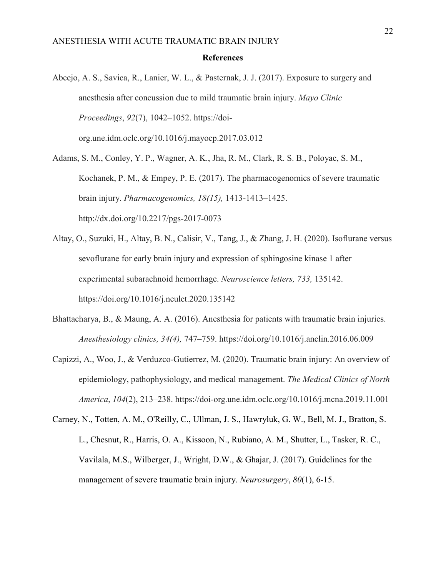#### **References**

Abcejo, A. S., Savica, R., Lanier, W. L., & Pasternak, J. J. (2017). Exposure to surgery and anesthesia after concussion due to mild traumatic brain injury. *Mayo Clinic Proceedings*, *92*(7), 1042–1052. https://doiorg.une.idm.oclc.org/10.1016/j.mayocp.2017.03.012

Adams, S. M., Conley, Y. P., Wagner, A. K., Jha, R. M., Clark, R. S. B., Poloyac, S. M., Kochanek, P. M., & Empey, P. E. (2017). The pharmacogenomics of severe traumatic brain injury. *Pharmacogenomics, 18(15),* 1413-1413–1425. http://dx.doi.org/10.2217/pgs-2017-0073

- Altay, O., Suzuki, H., Altay, B. N., Calisir, V., Tang, J., & Zhang, J. H. (2020). Isoflurane versus sevoflurane for early brain injury and expression of sphingosine kinase 1 after experimental subarachnoid hemorrhage. *Neuroscience letters, 733,* 135142. https://doi.org/10.1016/j.neulet.2020.135142
- Bhattacharya, B., & Maung, A. A. (2016). Anesthesia for patients with traumatic brain injuries. *Anesthesiology clinics, 34(4),* 747–759. https://doi.org/10.1016/j.anclin.2016.06.009
- Capizzi, A., Woo, J., & Verduzco-Gutierrez, M. (2020). Traumatic brain injury: An overview of epidemiology, pathophysiology, and medical management. *The Medical Clinics of North America*, *104*(2), 213–238. https://doi-org.une.idm.oclc.org/10.1016/j.mcna.2019.11.001
- Carney, N., Totten, A. M., O'Reilly, C., Ullman, J. S., Hawryluk, G. W., Bell, M. J., Bratton, S. L., Chesnut, R., Harris, O. A., Kissoon, N., Rubiano, A. M., Shutter, L., Tasker, R. C., Vavilala, M.S., Wilberger, J., Wright, D.W., & Ghajar, J. (2017). Guidelines for the management of severe traumatic brain injury. *Neurosurgery*, *80*(1), 6-15.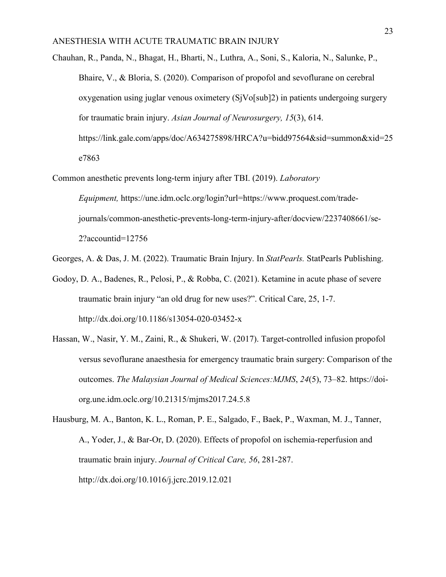- Chauhan, R., Panda, N., Bhagat, H., Bharti, N., Luthra, A., Soni, S., Kaloria, N., Salunke, P., Bhaire, V., & Bloria, S. (2020). Comparison of propofol and sevoflurane on cerebral oxygenation using juglar venous oximetery (SjVo[sub]2) in patients undergoing surgery for traumatic brain injury. *Asian Journal of Neurosurgery, 15*(3), 614. https://link.gale.com/apps/doc/A634275898/HRCA?u=bidd97564&sid=summon&xid=25 e7863
- Common anesthetic prevents long-term injury after TBI. (2019). *Laboratory Equipment,* https://une.idm.oclc.org/login?url=https://www.proquest.com/tradejournals/common-anesthetic-prevents-long-term-injury-after/docview/2237408661/se-2?accountid=12756
- Georges, A. & Das, J. M. (2022). Traumatic Brain Injury. In *StatPearls.* StatPearls Publishing.
- Godoy, D. A., Badenes, R., Pelosi, P., & Robba, C. (2021). Ketamine in acute phase of severe traumatic brain injury "an old drug for new uses?". Critical Care, 25, 1-7. http://dx.doi.org/10.1186/s13054-020-03452-x
- Hassan, W., Nasir, Y. M., Zaini, R., & Shukeri, W. (2017). Target-controlled infusion propofol versus sevoflurane anaesthesia for emergency traumatic brain surgery: Comparison of the outcomes. *The Malaysian Journal of Medical Sciences:MJMS*, *24*(5), 73–82. https://doiorg.une.idm.oclc.org/10.21315/mjms2017.24.5.8
- Hausburg, M. A., Banton, K. L., Roman, P. E., Salgado, F., Baek, P., Waxman, M. J., Tanner, A., Yoder, J., & Bar-Or, D. (2020). Effects of propofol on ischemia-reperfusion and traumatic brain injury. *Journal of Critical Care, 56*, 281-287. http://dx.doi.org/10.1016/j.jcrc.2019.12.021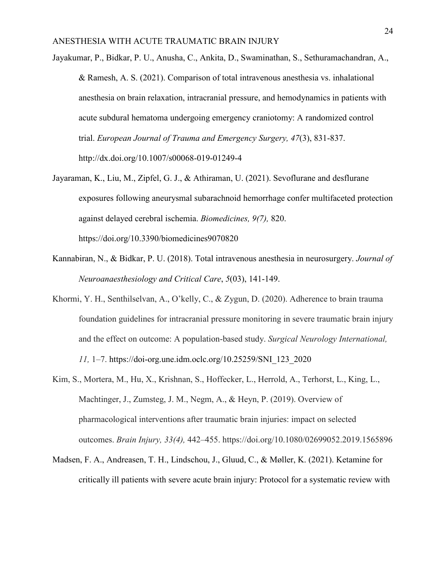- Jayakumar, P., Bidkar, P. U., Anusha, C., Ankita, D., Swaminathan, S., Sethuramachandran, A., & Ramesh, A. S. (2021). Comparison of total intravenous anesthesia vs. inhalational anesthesia on brain relaxation, intracranial pressure, and hemodynamics in patients with acute subdural hematoma undergoing emergency craniotomy: A randomized control trial. *European Journal of Trauma and Emergency Surgery, 47*(3), 831-837. http://dx.doi.org/10.1007/s00068-019-01249-4
- Jayaraman, K., Liu, M., Zipfel, G. J., & Athiraman, U. (2021). Sevoflurane and desflurane exposures following aneurysmal subarachnoid hemorrhage confer multifaceted protection against delayed cerebral ischemia. *Biomedicines, 9(7),* 820. https://doi.org/10.3390/biomedicines9070820
- Kannabiran, N., & Bidkar, P. U. (2018). Total intravenous anesthesia in neurosurgery. *Journal of Neuroanaesthesiology and Critical Care*, *5*(03), 141-149.
- Khormi, Y. H., Senthilselvan, A., O'kelly, C., & Zygun, D. (2020). Adherence to brain trauma foundation guidelines for intracranial pressure monitoring in severe traumatic brain injury and the effect on outcome: A population-based study. *Surgical Neurology International, 11,* 1–7. https://doi-org.une.idm.oclc.org/10.25259/SNI\_123\_2020
- Kim, S., Mortera, M., Hu, X., Krishnan, S., Hoffecker, L., Herrold, A., Terhorst, L., King, L., Machtinger, J., Zumsteg, J. M., Negm, A., & Heyn, P. (2019). Overview of pharmacological interventions after traumatic brain injuries: impact on selected outcomes. *Brain Injury, 33(4),* 442–455. https://doi.org/10.1080/02699052.2019.1565896
- Madsen, F. A., Andreasen, T. H., Lindschou, J., Gluud, C., & Møller, K. (2021). Ketamine for critically ill patients with severe acute brain injury: Protocol for a systematic review with